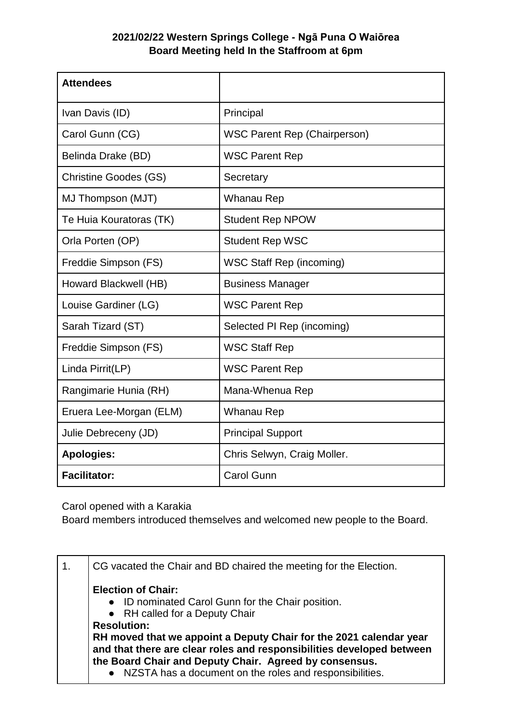## **2021/02/22 Western Springs College - Ngā Puna O Waiōrea Board Meeting held In the Staffroom at 6pm**

| <b>Attendees</b>             |                                     |
|------------------------------|-------------------------------------|
| Ivan Davis (ID)              | Principal                           |
| Carol Gunn (CG)              | <b>WSC Parent Rep (Chairperson)</b> |
| Belinda Drake (BD)           | <b>WSC Parent Rep</b>               |
| <b>Christine Goodes (GS)</b> | Secretary                           |
| MJ Thompson (MJT)            | Whanau Rep                          |
| Te Huia Kouratoras (TK)      | <b>Student Rep NPOW</b>             |
| Orla Porten (OP)             | <b>Student Rep WSC</b>              |
| Freddie Simpson (FS)         | <b>WSC Staff Rep (incoming)</b>     |
| Howard Blackwell (HB)        | <b>Business Manager</b>             |
| Louise Gardiner (LG)         | <b>WSC Parent Rep</b>               |
| Sarah Tizard (ST)            | Selected PI Rep (incoming)          |
| Freddie Simpson (FS)         | <b>WSC Staff Rep</b>                |
| Linda Pirrit(LP)             | <b>WSC Parent Rep</b>               |
| Rangimarie Hunia (RH)        | Mana-Whenua Rep                     |
| Eruera Lee-Morgan (ELM)      | Whanau Rep                          |
| Julie Debreceny (JD)         | <b>Principal Support</b>            |
| <b>Apologies:</b>            | Chris Selwyn, Craig Moller.         |
| <b>Facilitator:</b>          | <b>Carol Gunn</b>                   |

Carol opened with a Karakia

Board members introduced themselves and welcomed new people to the Board.

| CG vacated the Chair and BD chaired the meeting for the Election.                                                                                                 |
|-------------------------------------------------------------------------------------------------------------------------------------------------------------------|
| <b>Election of Chair:</b><br>• ID nominated Carol Gunn for the Chair position.<br>• RH called for a Deputy Chair                                                  |
| <b>Resolution:</b><br>RH moved that we appoint a Deputy Chair for the 2021 calendar year<br>and that there are clear roles and responsibilities developed between |
| the Board Chair and Deputy Chair. Agreed by consensus.<br>• NZSTA has a document on the roles and responsibilities.                                               |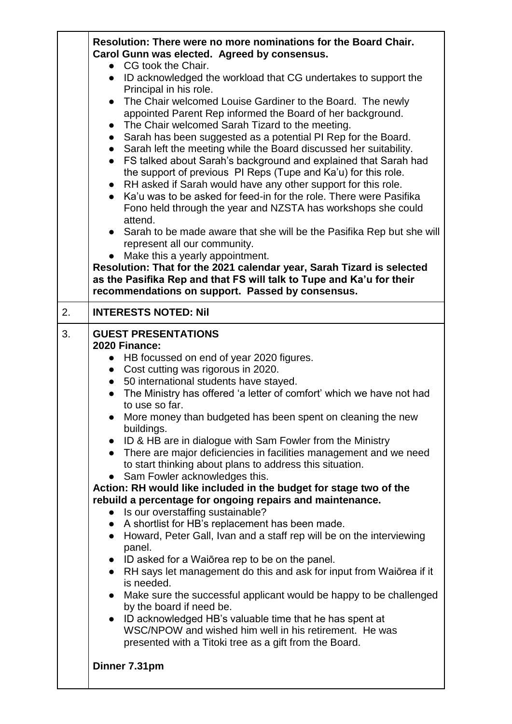|    | Resolution: There were no more nominations for the Board Chair.<br>Carol Gunn was elected. Agreed by consensus.<br>CG took the Chair.<br>$\bullet$<br>• ID acknowledged the workload that CG undertakes to support the<br>Principal in his role.<br>The Chair welcomed Louise Gardiner to the Board. The newly<br>$\bullet$<br>appointed Parent Rep informed the Board of her background.<br>The Chair welcomed Sarah Tizard to the meeting.<br>• Sarah has been suggested as a potential PI Rep for the Board.<br>• Sarah left the meeting while the Board discussed her suitability.<br>• FS talked about Sarah's background and explained that Sarah had<br>the support of previous PI Reps (Tupe and Ka'u) for this role.<br>• RH asked if Sarah would have any other support for this role.<br>• Ka'u was to be asked for feed-in for the role. There were Pasifika<br>Fono held through the year and NZSTA has workshops she could<br>attend.<br>• Sarah to be made aware that she will be the Pasifika Rep but she will<br>represent all our community.<br>Make this a yearly appointment.<br>Resolution: That for the 2021 calendar year, Sarah Tizard is selected<br>as the Pasifika Rep and that FS will talk to Tupe and Ka'u for their<br>recommendations on support. Passed by consensus.                                                                                              |
|----|-----------------------------------------------------------------------------------------------------------------------------------------------------------------------------------------------------------------------------------------------------------------------------------------------------------------------------------------------------------------------------------------------------------------------------------------------------------------------------------------------------------------------------------------------------------------------------------------------------------------------------------------------------------------------------------------------------------------------------------------------------------------------------------------------------------------------------------------------------------------------------------------------------------------------------------------------------------------------------------------------------------------------------------------------------------------------------------------------------------------------------------------------------------------------------------------------------------------------------------------------------------------------------------------------------------------------------------------------------------------------------------------------------|
| 2. | <b>INTERESTS NOTED: Nil</b>                                                                                                                                                                                                                                                                                                                                                                                                                                                                                                                                                                                                                                                                                                                                                                                                                                                                                                                                                                                                                                                                                                                                                                                                                                                                                                                                                                         |
| 3. | <b>GUEST PRESENTATIONS</b><br>2020 Finance:<br>• HB focussed on end of year 2020 figures.<br>• Cost cutting was rigorous in 2020.<br>• 50 international students have stayed.<br>The Ministry has offered 'a letter of comfort' which we have not had<br>to use so far.<br>More money than budgeted has been spent on cleaning the new<br>buildings.<br>• ID & HB are in dialogue with Sam Fowler from the Ministry<br>There are major deficiencies in facilities management and we need<br>$\bullet$<br>to start thinking about plans to address this situation.<br>• Sam Fowler acknowledges this.<br>Action: RH would like included in the budget for stage two of the<br>rebuild a percentage for ongoing repairs and maintenance.<br>Is our overstaffing sustainable?<br>A shortlist for HB's replacement has been made.<br>$\bullet$<br>Howard, Peter Gall, Ivan and a staff rep will be on the interviewing<br>$\bullet$<br>panel.<br>• ID asked for a Waiorea rep to be on the panel.<br>RH says let management do this and ask for input from Waiorea if it<br>is needed.<br>Make sure the successful applicant would be happy to be challenged<br>$\bullet$<br>by the board if need be.<br>• ID acknowledged HB's valuable time that he has spent at<br>WSC/NPOW and wished him well in his retirement. He was<br>presented with a Titoki tree as a gift from the Board.<br>Dinner 7.31pm |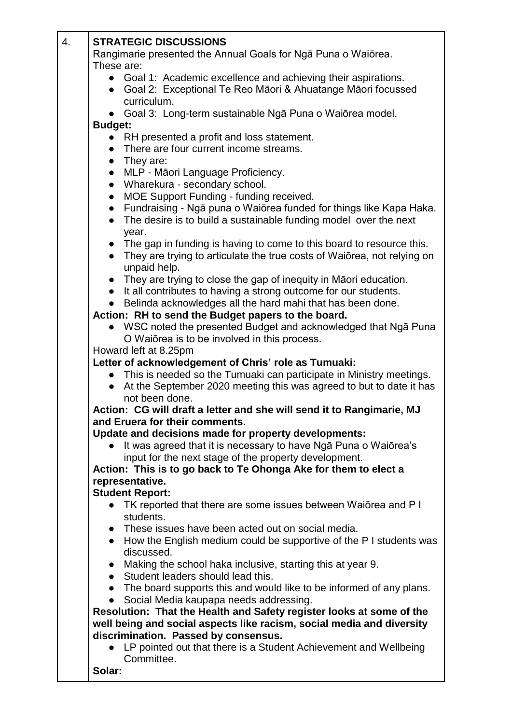| 4. | <b>STRATEGIC DISCUSSIONS</b>                                                                                                                 |  |
|----|----------------------------------------------------------------------------------------------------------------------------------------------|--|
|    | Rangimarie presented the Annual Goals for Nga Puna o Waiorea.                                                                                |  |
|    | These are:                                                                                                                                   |  |
|    | • Goal 1: Academic excellence and achieving their aspirations.                                                                               |  |
|    | Goal 2: Exceptional Te Reo Māori & Ahuatange Māori focussed<br>$\bullet$                                                                     |  |
|    | curriculum.                                                                                                                                  |  |
|    | Goal 3: Long-term sustainable Nga Puna o Waiorea model.                                                                                      |  |
|    | <b>Budget:</b>                                                                                                                               |  |
|    | • RH presented a profit and loss statement.                                                                                                  |  |
|    | • There are four current income streams.                                                                                                     |  |
|    | They are:<br>$\bullet$                                                                                                                       |  |
|    | MLP - Māori Language Proficiency.<br>$\bullet$                                                                                               |  |
|    | • Wharekura - secondary school.<br>MOE Support Funding - funding received.                                                                   |  |
|    | $\bullet$<br>Fundraising - Ngā puna o Waiōrea funded for things like Kapa Haka.<br>$\bullet$                                                 |  |
|    | The desire is to build a sustainable funding model over the next<br>$\bullet$                                                                |  |
|    | year.                                                                                                                                        |  |
|    | • The gap in funding is having to come to this board to resource this.                                                                       |  |
|    | They are trying to articulate the true costs of Waiorea, not relying on<br>$\bullet$                                                         |  |
|    | unpaid help.                                                                                                                                 |  |
|    | They are trying to close the gap of inequity in Māori education.<br>$\bullet$                                                                |  |
|    | It all contributes to having a strong outcome for our students.<br>$\bullet$                                                                 |  |
|    | Belinda acknowledges all the hard mahi that has been done.                                                                                   |  |
|    | Action: RH to send the Budget papers to the board.                                                                                           |  |
|    | • WSC noted the presented Budget and acknowledged that Nga Puna                                                                              |  |
|    | O Waiorea is to be involved in this process.                                                                                                 |  |
|    | Howard left at 8.25pm                                                                                                                        |  |
|    | Letter of acknowledgement of Chris' role as Tumuaki:                                                                                         |  |
|    | • This is needed so the Tumuaki can participate in Ministry meetings.<br>At the September 2020 meeting this was agreed to but to date it has |  |
|    | not been done.                                                                                                                               |  |
|    | Action: CG will draft a letter and she will send it to Rangimarie, MJ                                                                        |  |
|    | and Eruera for their comments.                                                                                                               |  |
|    | Update and decisions made for property developments:                                                                                         |  |
|    | It was agreed that it is necessary to have Nga Puna o Waiorea's                                                                              |  |
|    | input for the next stage of the property development.                                                                                        |  |
|    | Action: This is to go back to Te Ohonga Ake for them to elect a                                                                              |  |
|    | representative.                                                                                                                              |  |
|    | <b>Student Report:</b>                                                                                                                       |  |
|    | TK reported that there are some issues between Waiorea and P I                                                                               |  |
|    | students.                                                                                                                                    |  |
|    | • These issues have been acted out on social media.                                                                                          |  |
|    | • How the English medium could be supportive of the P I students was<br>discussed.                                                           |  |
|    | Making the school haka inclusive, starting this at year 9.                                                                                   |  |
|    | • Student leaders should lead this.                                                                                                          |  |
|    | • The board supports this and would like to be informed of any plans.                                                                        |  |
|    | Social Media kaupapa needs addressing.<br>$\bullet$                                                                                          |  |
|    | Resolution: That the Health and Safety register looks at some of the                                                                         |  |
|    | well being and social aspects like racism, social media and diversity                                                                        |  |
|    | discrimination. Passed by consensus.                                                                                                         |  |
|    | • LP pointed out that there is a Student Achievement and Wellbeing                                                                           |  |
|    | Committee.                                                                                                                                   |  |
|    | Solar:                                                                                                                                       |  |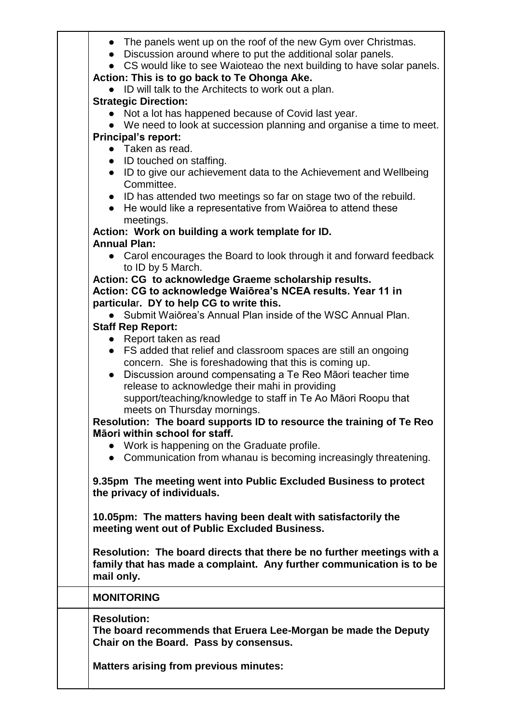| • The panels went up on the roof of the new Gym over Christmas.<br>Discussion around where to put the additional solar panels.<br>$\bullet$<br>CS would like to see Waioteao the next building to have solar panels.<br>Action: This is to go back to Te Ohonga Ake. |
|----------------------------------------------------------------------------------------------------------------------------------------------------------------------------------------------------------------------------------------------------------------------|
| ID will talk to the Architects to work out a plan.                                                                                                                                                                                                                   |
| <b>Strategic Direction:</b>                                                                                                                                                                                                                                          |
| Not a lot has happened because of Covid last year.                                                                                                                                                                                                                   |
| • We need to look at succession planning and organise a time to meet.                                                                                                                                                                                                |
| <b>Principal's report:</b>                                                                                                                                                                                                                                           |
| • Taken as read.                                                                                                                                                                                                                                                     |
| • ID touched on staffing.                                                                                                                                                                                                                                            |
| • ID to give our achievement data to the Achievement and Wellbeing                                                                                                                                                                                                   |
| Committee.                                                                                                                                                                                                                                                           |
| • ID has attended two meetings so far on stage two of the rebuild.                                                                                                                                                                                                   |
| He would like a representative from Waiorea to attend these                                                                                                                                                                                                          |
| meetings.<br>Action: Work on building a work template for ID.                                                                                                                                                                                                        |
| <b>Annual Plan:</b>                                                                                                                                                                                                                                                  |
| Carol encourages the Board to look through it and forward feedback<br>to ID by 5 March.                                                                                                                                                                              |
| Action: CG to acknowledge Graeme scholarship results.                                                                                                                                                                                                                |
| Action: CG to acknowledge Waiōrea's NCEA results. Year 11 in                                                                                                                                                                                                         |
| particular. DY to help CG to write this.                                                                                                                                                                                                                             |
| Submit Waiōrea's Annual Plan inside of the WSC Annual Plan.                                                                                                                                                                                                          |
| <b>Staff Rep Report:</b>                                                                                                                                                                                                                                             |
| • Report taken as read                                                                                                                                                                                                                                               |
| • FS added that relief and classroom spaces are still an ongoing                                                                                                                                                                                                     |
| concern. She is foreshadowing that this is coming up.                                                                                                                                                                                                                |
| Discussion around compensating a Te Reo Māori teacher time<br>$\bullet$                                                                                                                                                                                              |
| release to acknowledge their mahi in providing<br>support/teaching/knowledge to staff in Te Ao Māori Roopu that                                                                                                                                                      |
| meets on Thursday mornings.                                                                                                                                                                                                                                          |
| Resolution: The board supports ID to resource the training of Te Reo                                                                                                                                                                                                 |
| Māori within school for staff.                                                                                                                                                                                                                                       |
| • Work is happening on the Graduate profile.                                                                                                                                                                                                                         |
| • Communication from whanau is becoming increasingly threatening.                                                                                                                                                                                                    |
|                                                                                                                                                                                                                                                                      |
| 9.35pm The meeting went into Public Excluded Business to protect<br>the privacy of individuals.                                                                                                                                                                      |
| 10.05pm: The matters having been dealt with satisfactorily the<br>meeting went out of Public Excluded Business.                                                                                                                                                      |
| Resolution: The board directs that there be no further meetings with a<br>family that has made a complaint. Any further communication is to be<br>mail only.                                                                                                         |
| <b>MONITORING</b>                                                                                                                                                                                                                                                    |
| <b>Resolution:</b><br>The board recommends that Eruera Lee-Morgan be made the Deputy<br>Chair on the Board. Pass by consensus.                                                                                                                                       |
| <b>Matters arising from previous minutes:</b>                                                                                                                                                                                                                        |